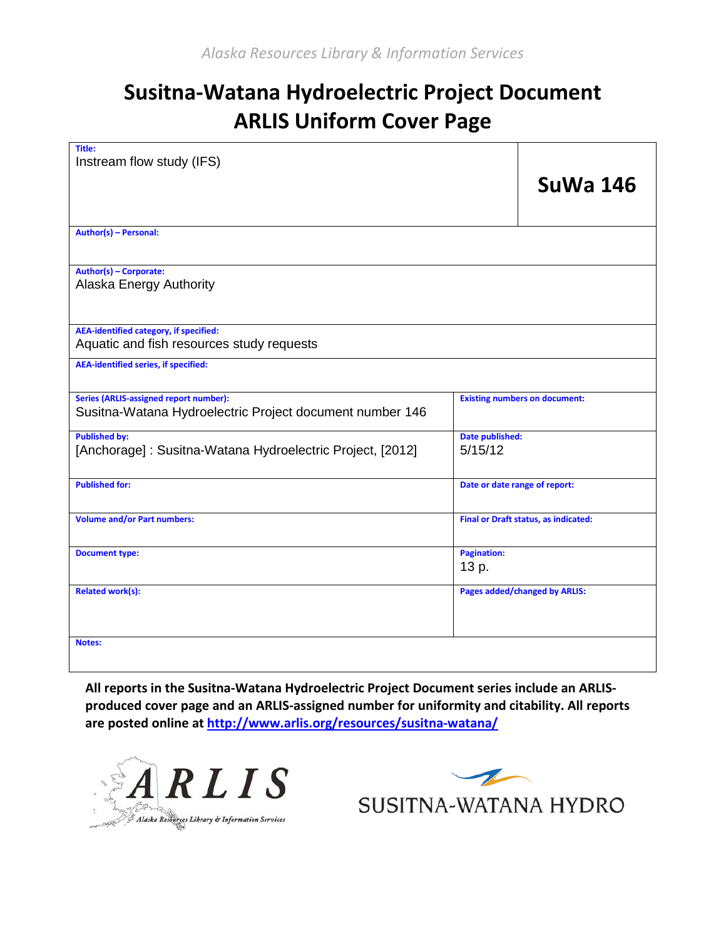# **Susitna-Watana Hydroelectric Project Document ARLIS Uniform Cover Page**

| Title:<br>Instream flow study (IFS)                                                                       |                                      | <b>SuWa 146</b>                      |  |  |  |
|-----------------------------------------------------------------------------------------------------------|--------------------------------------|--------------------------------------|--|--|--|
| Author(s) - Personal:                                                                                     |                                      |                                      |  |  |  |
| Author(s) - Corporate:<br>Alaska Energy Authority                                                         |                                      |                                      |  |  |  |
| <b>AEA-identified category, if specified:</b><br>Aquatic and fish resources study requests                |                                      |                                      |  |  |  |
| <b>AEA-identified series, if specified:</b>                                                               |                                      |                                      |  |  |  |
| <b>Series (ARLIS-assigned report number):</b><br>Susitna-Watana Hydroelectric Project document number 146 | <b>Existing numbers on document:</b> |                                      |  |  |  |
| <b>Published by:</b><br>[Anchorage]: Susitna-Watana Hydroelectric Project, [2012]                         | Date published:<br>5/15/12           |                                      |  |  |  |
| <b>Published for:</b>                                                                                     | Date or date range of report:        |                                      |  |  |  |
| <b>Volume and/or Part numbers:</b>                                                                        | Final or Draft status, as indicated: |                                      |  |  |  |
| <b>Document type:</b>                                                                                     | <b>Pagination:</b><br>13 p.          |                                      |  |  |  |
| <b>Related work(s):</b>                                                                                   |                                      | <b>Pages added/changed by ARLIS:</b> |  |  |  |
| Notes:                                                                                                    |                                      |                                      |  |  |  |

**All reports in the Susitna-Watana Hydroelectric Project Document series include an ARLISproduced cover page and an ARLIS-assigned number for uniformity and citability. All reports are posted online a[t http://www.arlis.org/resources/susitna-watana/](http://www.arlis.org/resources/susitna-watana/)**



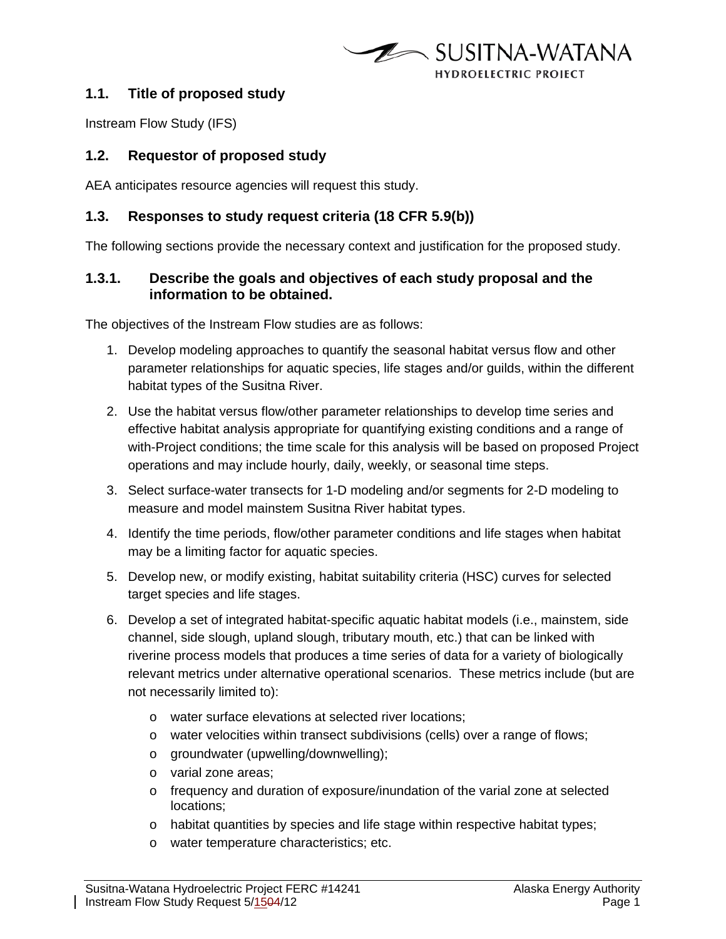

## **1.1. Title of proposed study**

Instream Flow Study (IFS)

## **1.2. Requestor of proposed study**

AEA anticipates resource agencies will request this study.

#### **1.3. Responses to study request criteria (18 CFR 5.9(b))**

The following sections provide the necessary context and justification for the proposed study.

## **1.3.1. Describe the goals and objectives of each study proposal and the information to be obtained.**

The objectives of the Instream Flow studies are as follows:

- 1. Develop modeling approaches to quantify the seasonal habitat versus flow and other parameter relationships for aquatic species, life stages and/or guilds, within the different habitat types of the Susitna River.
- 2. Use the habitat versus flow/other parameter relationships to develop time series and effective habitat analysis appropriate for quantifying existing conditions and a range of with-Project conditions; the time scale for this analysis will be based on proposed Project operations and may include hourly, daily, weekly, or seasonal time steps.
- 3. Select surface-water transects for 1-D modeling and/or segments for 2-D modeling to measure and model mainstem Susitna River habitat types.
- 4. Identify the time periods, flow/other parameter conditions and life stages when habitat may be a limiting factor for aquatic species.
- 5. Develop new, or modify existing, habitat suitability criteria (HSC) curves for selected target species and life stages.
- 6. Develop a set of integrated habitat-specific aquatic habitat models (i.e., mainstem, side channel, side slough, upland slough, tributary mouth, etc.) that can be linked with riverine process models that produces a time series of data for a variety of biologically relevant metrics under alternative operational scenarios. These metrics include (but are not necessarily limited to):
	- o water surface elevations at selected river locations;
	- o water velocities within transect subdivisions (cells) over a range of flows;
	- o groundwater (upwelling/downwelling);
	- o varial zone areas;
	- o frequency and duration of exposure/inundation of the varial zone at selected locations;
	- o habitat quantities by species and life stage within respective habitat types;
	- o water temperature characteristics; etc.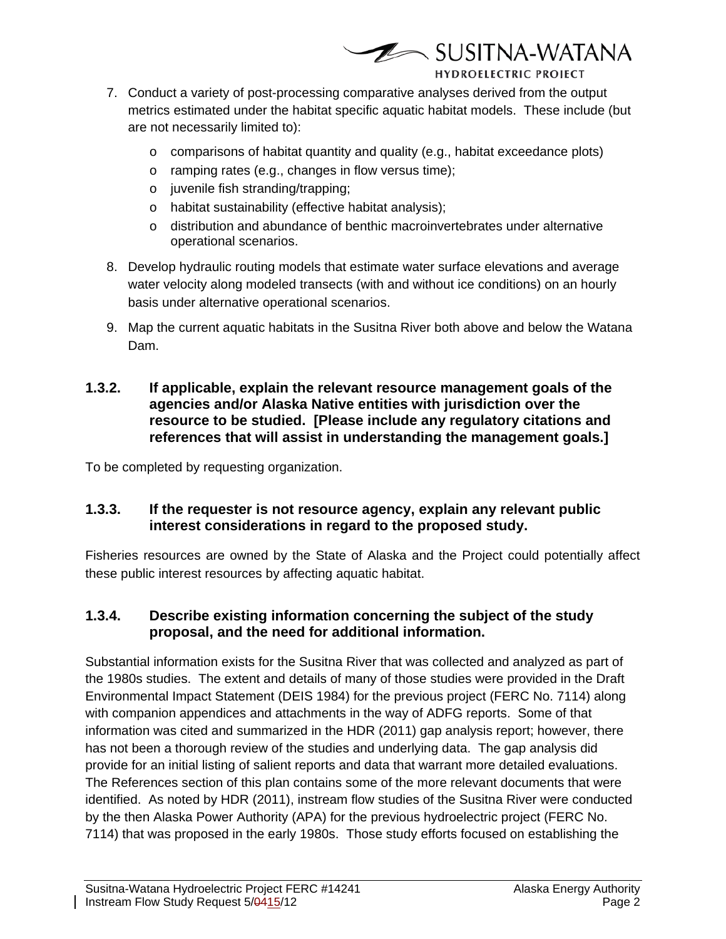

- 7. Conduct a variety of post-processing comparative analyses derived from the output metrics estimated under the habitat specific aquatic habitat models. These include (but are not necessarily limited to):
	- $\circ$  comparisons of habitat quantity and quality (e.g., habitat exceedance plots)
	- o ramping rates (e.g., changes in flow versus time);
	- o juvenile fish stranding/trapping;
	- o habitat sustainability (effective habitat analysis);
	- o distribution and abundance of benthic macroinvertebrates under alternative operational scenarios.
- 8. Develop hydraulic routing models that estimate water surface elevations and average water velocity along modeled transects (with and without ice conditions) on an hourly basis under alternative operational scenarios.
- 9. Map the current aquatic habitats in the Susitna River both above and below the Watana Dam.
- **1.3.2. If applicable, explain the relevant resource management goals of the agencies and/or Alaska Native entities with jurisdiction over the resource to be studied. [Please include any regulatory citations and references that will assist in understanding the management goals.]**

To be completed by requesting organization.

## **1.3.3. If the requester is not resource agency, explain any relevant public interest considerations in regard to the proposed study.**

Fisheries resources are owned by the State of Alaska and the Project could potentially affect these public interest resources by affecting aquatic habitat.

## **1.3.4. Describe existing information concerning the subject of the study proposal, and the need for additional information.**

Substantial information exists for the Susitna River that was collected and analyzed as part of the 1980s studies. The extent and details of many of those studies were provided in the Draft Environmental Impact Statement (DEIS 1984) for the previous project (FERC No. 7114) along with companion appendices and attachments in the way of ADFG reports. Some of that information was cited and summarized in the HDR (2011) gap analysis report; however, there has not been a thorough review of the studies and underlying data. The gap analysis did provide for an initial listing of salient reports and data that warrant more detailed evaluations. The References section of this plan contains some of the more relevant documents that were identified. As noted by HDR (2011), instream flow studies of the Susitna River were conducted by the then Alaska Power Authority (APA) for the previous hydroelectric project (FERC No. 7114) that was proposed in the early 1980s. Those study efforts focused on establishing the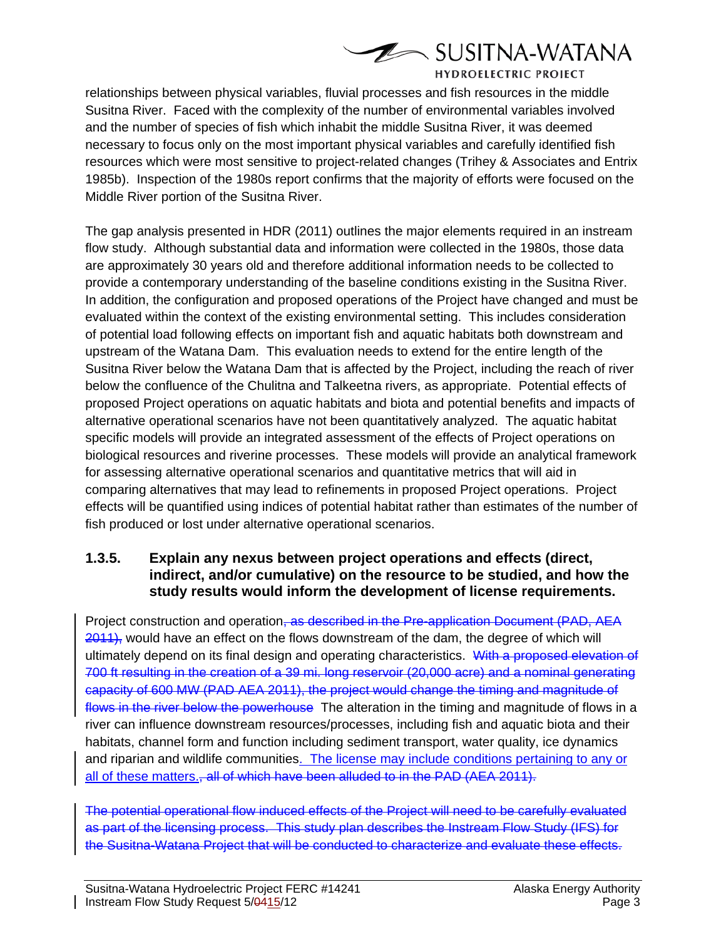

relationships between physical variables, fluvial processes and fish resources in the middle Susitna River. Faced with the complexity of the number of environmental variables involved and the number of species of fish which inhabit the middle Susitna River, it was deemed necessary to focus only on the most important physical variables and carefully identified fish resources which were most sensitive to project-related changes (Trihey & Associates and Entrix 1985b). Inspection of the 1980s report confirms that the majority of efforts were focused on the Middle River portion of the Susitna River.

The gap analysis presented in HDR (2011) outlines the major elements required in an instream flow study. Although substantial data and information were collected in the 1980s, those data are approximately 30 years old and therefore additional information needs to be collected to provide a contemporary understanding of the baseline conditions existing in the Susitna River. In addition, the configuration and proposed operations of the Project have changed and must be evaluated within the context of the existing environmental setting. This includes consideration of potential load following effects on important fish and aquatic habitats both downstream and upstream of the Watana Dam. This evaluation needs to extend for the entire length of the Susitna River below the Watana Dam that is affected by the Project, including the reach of river below the confluence of the Chulitna and Talkeetna rivers, as appropriate. Potential effects of proposed Project operations on aquatic habitats and biota and potential benefits and impacts of alternative operational scenarios have not been quantitatively analyzed. The aquatic habitat specific models will provide an integrated assessment of the effects of Project operations on biological resources and riverine processes. These models will provide an analytical framework for assessing alternative operational scenarios and quantitative metrics that will aid in comparing alternatives that may lead to refinements in proposed Project operations. Project effects will be quantified using indices of potential habitat rather than estimates of the number of fish produced or lost under alternative operational scenarios.

## **1.3.5. Explain any nexus between project operations and effects (direct, indirect, and/or cumulative) on the resource to be studied, and how the study results would inform the development of license requirements.**

Project construction and operation, as described in the Pre-application Document (PAD, AEA 2011), would have an effect on the flows downstream of the dam, the degree of which will ultimately depend on its final design and operating characteristics. With a proposed elevation of 700 ft resulting in the creation of a 39 mi. long reservoir (20,000 acre) and a nominal generating capacity of 600 MW (PAD AEA 2011), the project would change the timing and magnitude of flows in the river below the powerhouse The alteration in the timing and magnitude of flows in a river can influence downstream resources/processes, including fish and aquatic biota and their habitats, channel form and function including sediment transport, water quality, ice dynamics and riparian and wildlife communities. The license may include conditions pertaining to any or all of these matters., all of which have been alluded to in the PAD (AEA 2011).

The potential operational flow induced effects of the Project will need to be carefully evaluated as part of the licensing process. This study plan describes the Instream Flow Study (IFS) for the Susitna-Watana Project that will be conducted to characterize and evaluate these effects.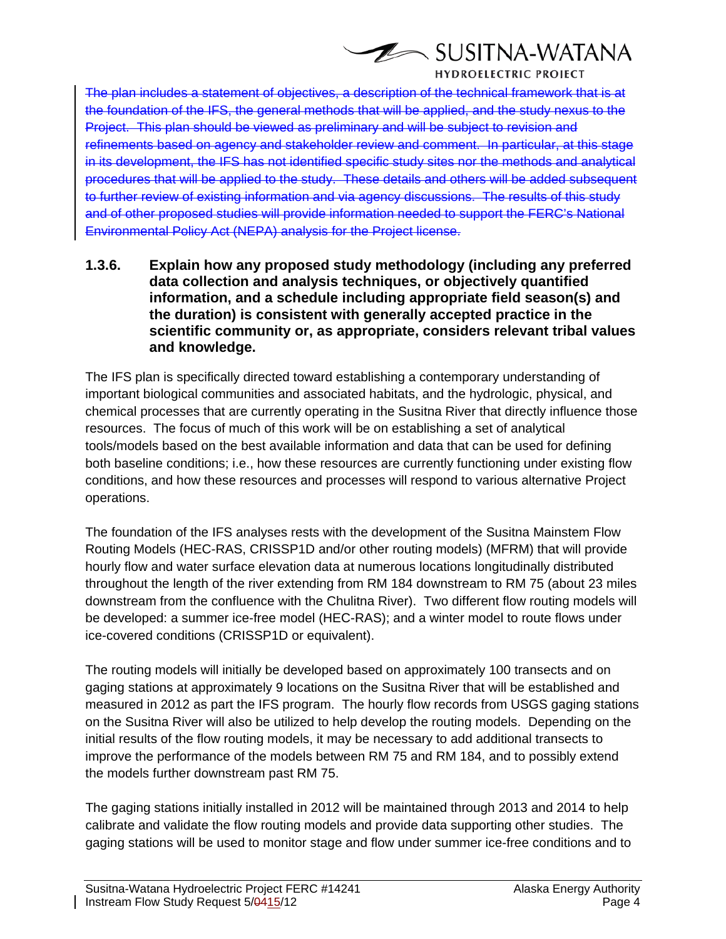

The plan includes a statement of objectives, a description of the technical framework that is at the foundation of the IFS, the general methods that will be applied, and the study nexus to the Project. This plan should be viewed as preliminary and will be subject to revision and refinements based on agency and stakeholder review and comment. In particular, at this stage in its development, the IFS has not identified specific study sites nor the methods and analytical procedures that will be applied to the study. These details and others will be added subsequent to further review of existing information and via agency discussions. The results of this study and of other proposed studies will provide information needed to support the FERC's National Environmental Policy Act (NEPA) analysis for the Project license.

**1.3.6. Explain how any proposed study methodology (including any preferred data collection and analysis techniques, or objectively quantified information, and a schedule including appropriate field season(s) and the duration) is consistent with generally accepted practice in the scientific community or, as appropriate, considers relevant tribal values and knowledge.**

The IFS plan is specifically directed toward establishing a contemporary understanding of important biological communities and associated habitats, and the hydrologic, physical, and chemical processes that are currently operating in the Susitna River that directly influence those resources. The focus of much of this work will be on establishing a set of analytical tools/models based on the best available information and data that can be used for defining both baseline conditions; i.e., how these resources are currently functioning under existing flow conditions, and how these resources and processes will respond to various alternative Project operations.

The foundation of the IFS analyses rests with the development of the Susitna Mainstem Flow Routing Models (HEC-RAS, CRISSP1D and/or other routing models) (MFRM) that will provide hourly flow and water surface elevation data at numerous locations longitudinally distributed throughout the length of the river extending from RM 184 downstream to RM 75 (about 23 miles downstream from the confluence with the Chulitna River). Two different flow routing models will be developed: a summer ice-free model (HEC-RAS); and a winter model to route flows under ice-covered conditions (CRISSP1D or equivalent).

The routing models will initially be developed based on approximately 100 transects and on gaging stations at approximately 9 locations on the Susitna River that will be established and measured in 2012 as part the IFS program. The hourly flow records from USGS gaging stations on the Susitna River will also be utilized to help develop the routing models. Depending on the initial results of the flow routing models, it may be necessary to add additional transects to improve the performance of the models between RM 75 and RM 184, and to possibly extend the models further downstream past RM 75.

The gaging stations initially installed in 2012 will be maintained through 2013 and 2014 to help calibrate and validate the flow routing models and provide data supporting other studies. The gaging stations will be used to monitor stage and flow under summer ice-free conditions and to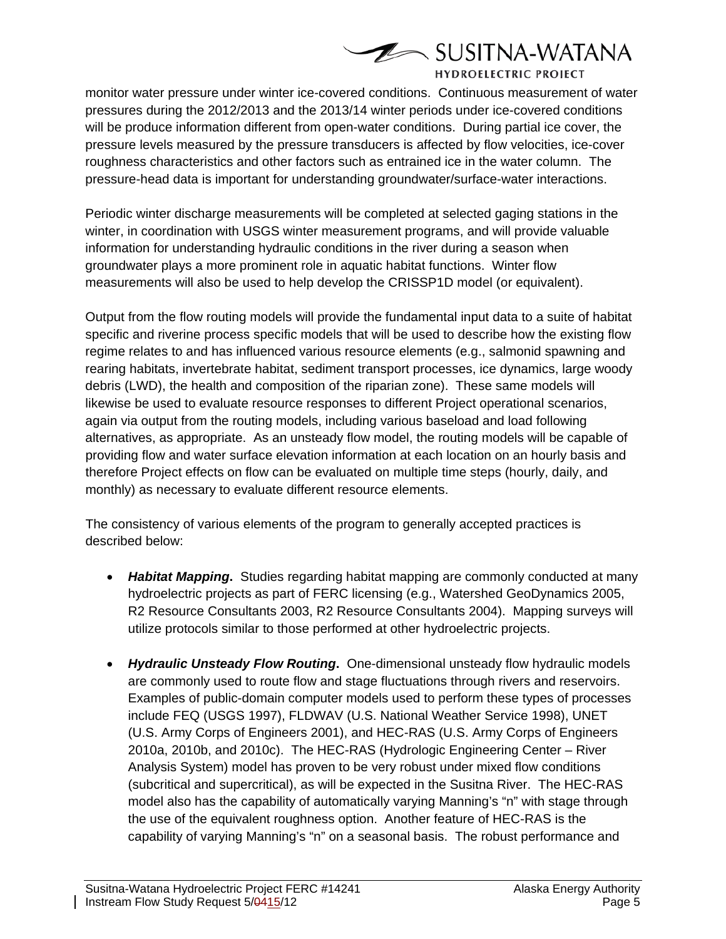

monitor water pressure under winter ice-covered conditions. Continuous measurement of water pressures during the 2012/2013 and the 2013/14 winter periods under ice-covered conditions will be produce information different from open-water conditions. During partial ice cover, the pressure levels measured by the pressure transducers is affected by flow velocities, ice-cover roughness characteristics and other factors such as entrained ice in the water column. The pressure-head data is important for understanding groundwater/surface-water interactions.

Periodic winter discharge measurements will be completed at selected gaging stations in the winter, in coordination with USGS winter measurement programs, and will provide valuable information for understanding hydraulic conditions in the river during a season when groundwater plays a more prominent role in aquatic habitat functions. Winter flow measurements will also be used to help develop the CRISSP1D model (or equivalent).

Output from the flow routing models will provide the fundamental input data to a suite of habitat specific and riverine process specific models that will be used to describe how the existing flow regime relates to and has influenced various resource elements (e.g., salmonid spawning and rearing habitats, invertebrate habitat, sediment transport processes, ice dynamics, large woody debris (LWD), the health and composition of the riparian zone). These same models will likewise be used to evaluate resource responses to different Project operational scenarios, again via output from the routing models, including various baseload and load following alternatives, as appropriate. As an unsteady flow model, the routing models will be capable of providing flow and water surface elevation information at each location on an hourly basis and therefore Project effects on flow can be evaluated on multiple time steps (hourly, daily, and monthly) as necessary to evaluate different resource elements.

The consistency of various elements of the program to generally accepted practices is described below:

- *Habitat Mapping***.** Studies regarding habitat mapping are commonly conducted at many hydroelectric projects as part of FERC licensing (e.g., Watershed GeoDynamics 2005, R2 Resource Consultants 2003, R2 Resource Consultants 2004). Mapping surveys will utilize protocols similar to those performed at other hydroelectric projects.
- *Hydraulic Unsteady Flow Routing***.** One-dimensional unsteady flow hydraulic models are commonly used to route flow and stage fluctuations through rivers and reservoirs. Examples of public-domain computer models used to perform these types of processes include FEQ (USGS 1997), FLDWAV (U.S. National Weather Service 1998), UNET (U.S. Army Corps of Engineers 2001), and HEC-RAS (U.S. Army Corps of Engineers 2010a, 2010b, and 2010c). The HEC-RAS (Hydrologic Engineering Center – River Analysis System) model has proven to be very robust under mixed flow conditions (subcritical and supercritical), as will be expected in the Susitna River. The HEC-RAS model also has the capability of automatically varying Manning's "n" with stage through the use of the equivalent roughness option. Another feature of HEC-RAS is the capability of varying Manning's "n" on a seasonal basis. The robust performance and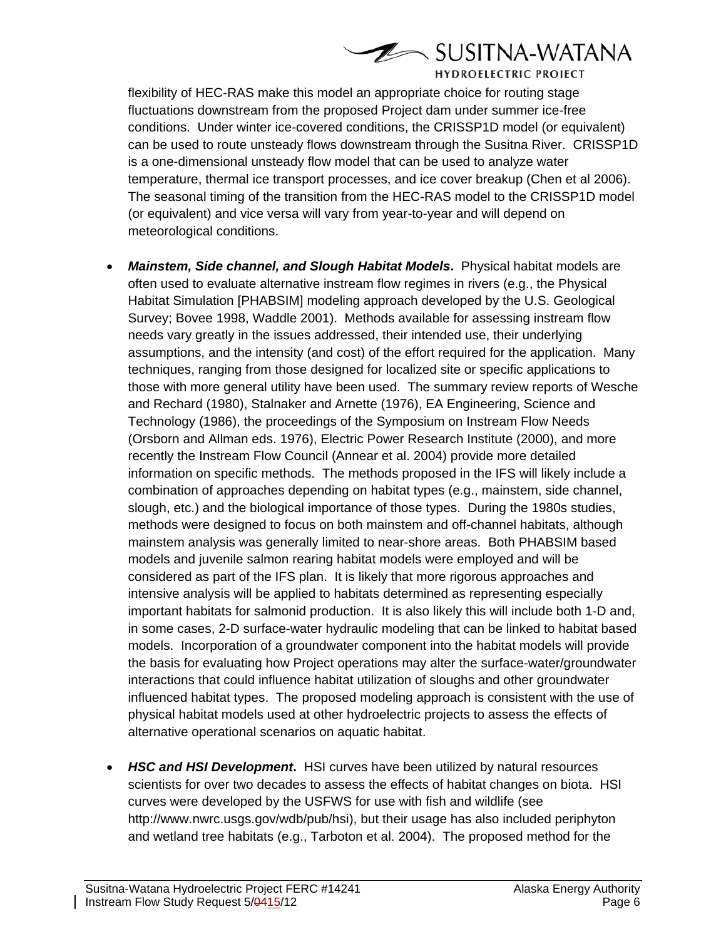

flexibility of HEC-RAS make this model an appropriate choice for routing stage fluctuations downstream from the proposed Project dam under summer ice-free conditions. Under winter ice-covered conditions, the CRISSP1D model (or equivalent) can be used to route unsteady flows downstream through the Susitna River. CRISSP1D is a one-dimensional unsteady flow model that can be used to analyze water temperature, thermal ice transport processes, and ice cover breakup (Chen et al 2006). The seasonal timing of the transition from the HEC-RAS model to the CRISSP1D model (or equivalent) and vice versa will vary from year-to-year and will depend on meteorological conditions.

- *Mainstem, Side channel, and Slough Habitat Models***.** Physical habitat models are often used to evaluate alternative instream flow regimes in rivers (e.g., the Physical Habitat Simulation [PHABSIM] modeling approach developed by the U.S. Geological Survey; Bovee 1998, Waddle 2001). Methods available for assessing instream flow needs vary greatly in the issues addressed, their intended use, their underlying assumptions, and the intensity (and cost) of the effort required for the application. Many techniques, ranging from those designed for localized site or specific applications to those with more general utility have been used. The summary review reports of Wesche and Rechard (1980), Stalnaker and Arnette (1976), EA Engineering, Science and Technology (1986), the proceedings of the Symposium on Instream Flow Needs (Orsborn and Allman eds. 1976), Electric Power Research Institute (2000), and more recently the Instream Flow Council (Annear et al. 2004) provide more detailed information on specific methods. The methods proposed in the IFS will likely include a combination of approaches depending on habitat types (e.g., mainstem, side channel, slough, etc.) and the biological importance of those types. During the 1980s studies, methods were designed to focus on both mainstem and off-channel habitats, although mainstem analysis was generally limited to near-shore areas. Both PHABSIM based models and juvenile salmon rearing habitat models were employed and will be considered as part of the IFS plan. It is likely that more rigorous approaches and intensive analysis will be applied to habitats determined as representing especially important habitats for salmonid production. It is also likely this will include both 1-D and, in some cases, 2-D surface-water hydraulic modeling that can be linked to habitat based models. Incorporation of a groundwater component into the habitat models will provide the basis for evaluating how Project operations may alter the surface-water/groundwater interactions that could influence habitat utilization of sloughs and other groundwater influenced habitat types. The proposed modeling approach is consistent with the use of physical habitat models used at other hydroelectric projects to assess the effects of alternative operational scenarios on aquatic habitat.
- *HSC and HSI Development***.** HSI curves have been utilized by natural resources scientists for over two decades to assess the effects of habitat changes on biota. HSI curves were developed by the USFWS for use with fish and wildlife (see http://www.nwrc.usgs.gov/wdb/pub/hsi), but their usage has also included periphyton and wetland tree habitats (e.g., Tarboton et al. 2004). The proposed method for the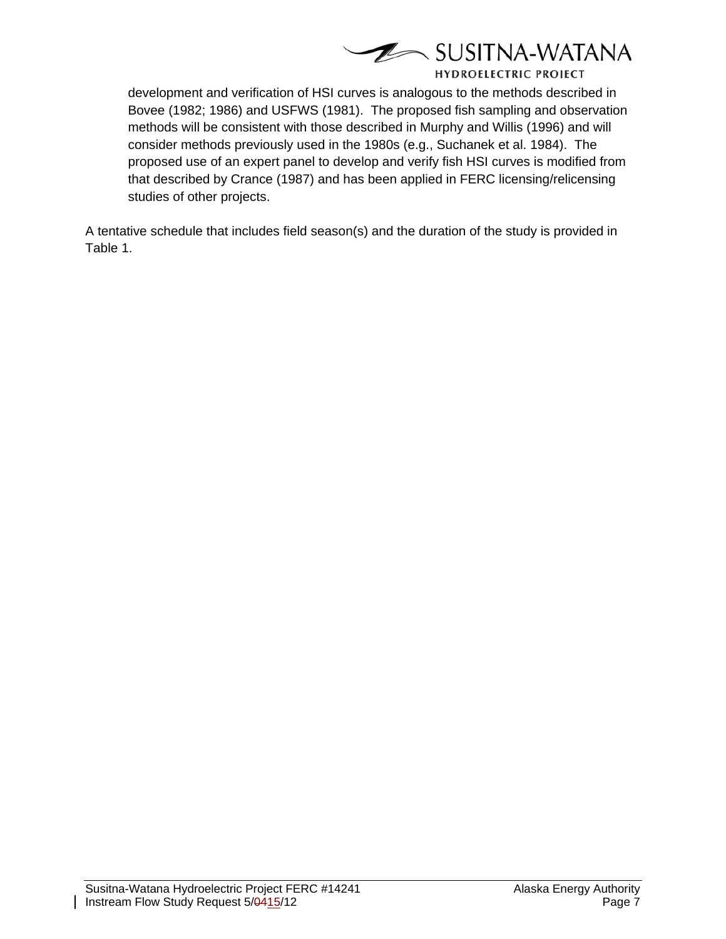

development and verification of HSI curves is analogous to the methods described in Bovee (1982; 1986) and USFWS (1981). The proposed fish sampling and observation methods will be consistent with those described in Murphy and Willis (1996) and will consider methods previously used in the 1980s (e.g., Suchanek et al. 1984). The proposed use of an expert panel to develop and verify fish HSI curves is modified from that described by Crance (1987) and has been applied in FERC licensing/relicensing studies of other projects.

A tentative schedule that includes field season(s) and the duration of the study is provided in Table 1.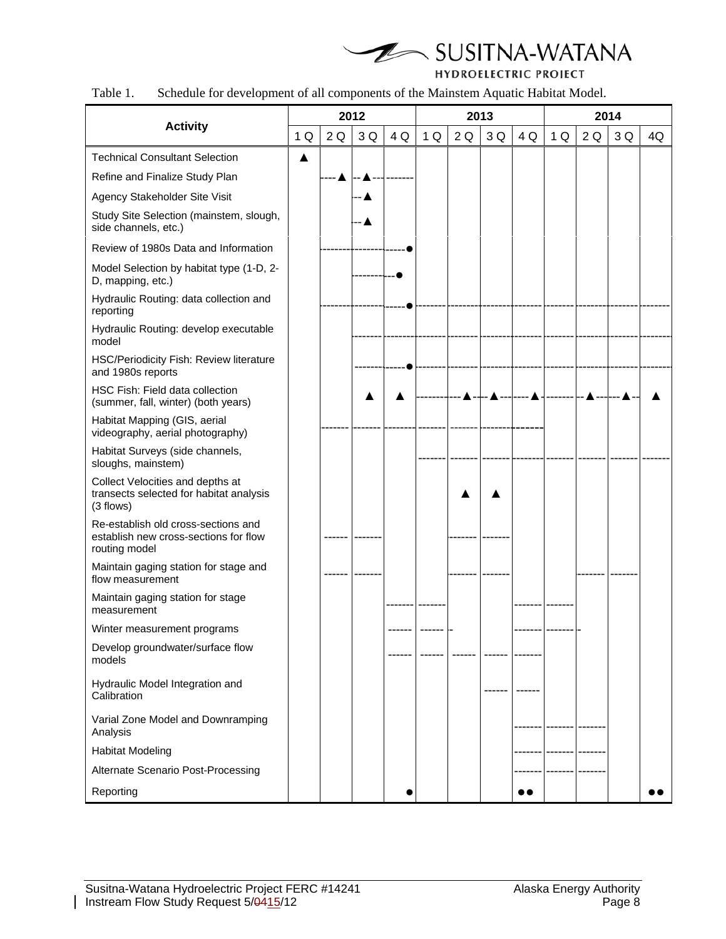

| Table 1. |  | Schedule for development of all components of the Mainstem Aquatic Habitat Model. |  |
|----------|--|-----------------------------------------------------------------------------------|--|
|          |  |                                                                                   |  |

|                                                                                               |    | 2012 |     |     | 2013 |    |     |     | 2014 |    |     |    |
|-----------------------------------------------------------------------------------------------|----|------|-----|-----|------|----|-----|-----|------|----|-----|----|
| <b>Activity</b>                                                                               | 1Q | 2Q   | 3 Q | 4 Q | 1Q   | 2Q | 3 Q | 4 Q | 1Q   | 2Q | 3 Q | 4Q |
| <b>Technical Consultant Selection</b>                                                         | ▲  |      |     |     |      |    |     |     |      |    |     |    |
| Refine and Finalize Study Plan                                                                |    |      |     |     |      |    |     |     |      |    |     |    |
| Agency Stakeholder Site Visit                                                                 |    |      |     |     |      |    |     |     |      |    |     |    |
| Study Site Selection (mainstem, slough,<br>side channels, etc.)                               |    |      |     |     |      |    |     |     |      |    |     |    |
| Review of 1980s Data and Information                                                          |    |      |     |     |      |    |     |     |      |    |     |    |
| Model Selection by habitat type (1-D, 2-<br>D, mapping, etc.)                                 |    |      |     |     |      |    |     |     |      |    |     |    |
| Hydraulic Routing: data collection and<br>reporting                                           |    |      |     |     |      |    |     |     |      |    |     |    |
| Hydraulic Routing: develop executable<br>model                                                |    |      |     |     |      |    |     |     |      |    |     |    |
| HSC/Periodicity Fish: Review literature<br>and 1980s reports                                  |    |      |     |     |      |    |     |     |      |    |     |    |
| HSC Fish: Field data collection<br>(summer, fall, winter) (both years)                        |    |      |     |     |      |    |     |     |      |    |     |    |
| Habitat Mapping (GIS, aerial<br>videography, aerial photography)                              |    |      |     |     |      |    |     |     |      |    |     |    |
| Habitat Surveys (side channels,<br>sloughs, mainstem)                                         |    |      |     |     |      |    |     |     |      |    |     |    |
| Collect Velocities and depths at<br>transects selected for habitat analysis<br>(3 flows)      |    |      |     |     |      |    |     |     |      |    |     |    |
| Re-establish old cross-sections and<br>establish new cross-sections for flow<br>routing model |    |      |     |     |      |    |     |     |      |    |     |    |
| Maintain gaging station for stage and<br>flow measurement                                     |    |      |     |     |      |    |     |     |      |    |     |    |
| Maintain gaging station for stage<br>measurement                                              |    |      |     |     |      |    |     |     |      |    |     |    |
| Winter measurement programs                                                                   |    |      |     |     |      |    |     |     |      |    |     |    |
| Develop groundwater/surface flow<br>models                                                    |    |      |     |     |      |    |     |     |      |    |     |    |
| Hydraulic Model Integration and<br>Calibration                                                |    |      |     |     |      |    |     |     |      |    |     |    |
| Varial Zone Model and Downramping<br>Analysis                                                 |    |      |     |     |      |    |     |     |      |    |     |    |
| <b>Habitat Modeling</b>                                                                       |    |      |     |     |      |    |     |     |      |    |     |    |
| Alternate Scenario Post-Processing                                                            |    |      |     |     |      |    |     |     |      |    |     |    |
| Reporting                                                                                     |    |      |     |     |      |    |     |     |      |    |     |    |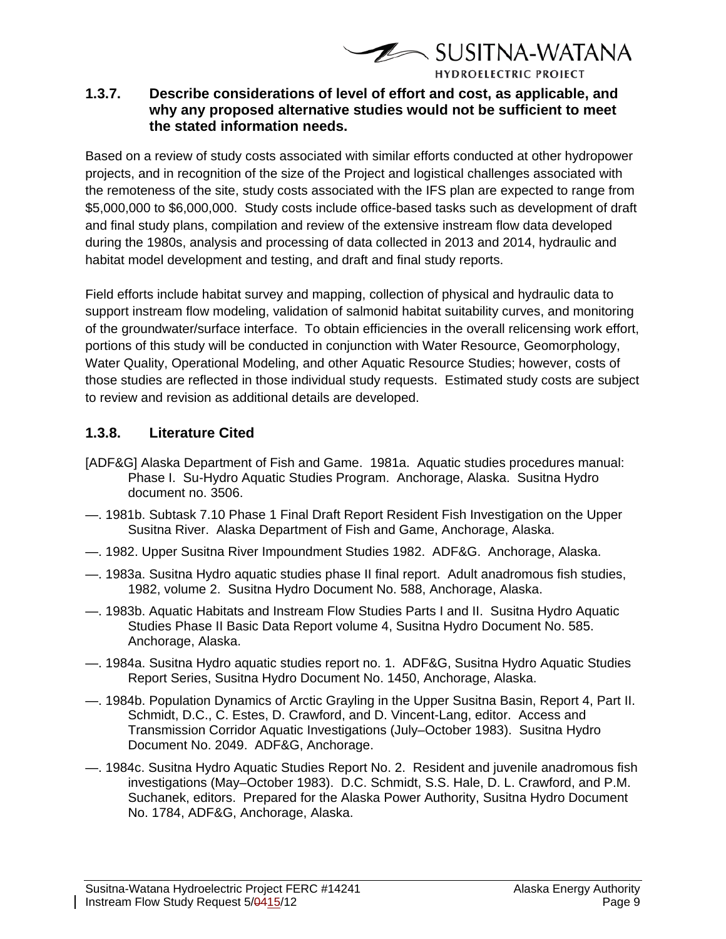

## **1.3.7. Describe considerations of level of effort and cost, as applicable, and why any proposed alternative studies would not be sufficient to meet the stated information needs.**

Based on a review of study costs associated with similar efforts conducted at other hydropower projects, and in recognition of the size of the Project and logistical challenges associated with the remoteness of the site, study costs associated with the IFS plan are expected to range from \$5,000,000 to \$6,000,000. Study costs include office-based tasks such as development of draft and final study plans, compilation and review of the extensive instream flow data developed during the 1980s, analysis and processing of data collected in 2013 and 2014, hydraulic and habitat model development and testing, and draft and final study reports.

Field efforts include habitat survey and mapping, collection of physical and hydraulic data to support instream flow modeling, validation of salmonid habitat suitability curves, and monitoring of the groundwater/surface interface. To obtain efficiencies in the overall relicensing work effort, portions of this study will be conducted in conjunction with Water Resource, Geomorphology, Water Quality, Operational Modeling, and other Aquatic Resource Studies; however, costs of those studies are reflected in those individual study requests. Estimated study costs are subject to review and revision as additional details are developed.

## **1.3.8. Literature Cited**

- [ADF&G] Alaska Department of Fish and Game. 1981a. Aquatic studies procedures manual: Phase I. Su-Hydro Aquatic Studies Program. Anchorage, Alaska. Susitna Hydro document no. 3506.
- —. 1981b. Subtask 7.10 Phase 1 Final Draft Report Resident Fish Investigation on the Upper Susitna River. Alaska Department of Fish and Game, Anchorage, Alaska.
- —. 1982. Upper Susitna River Impoundment Studies 1982. ADF&G. Anchorage, Alaska.
- —. 1983a. Susitna Hydro aquatic studies phase II final report. Adult anadromous fish studies, 1982, volume 2. Susitna Hydro Document No. 588, Anchorage, Alaska.
- —. 1983b. Aquatic Habitats and Instream Flow Studies Parts I and II. Susitna Hydro Aquatic Studies Phase II Basic Data Report volume 4, Susitna Hydro Document No. 585. Anchorage, Alaska.
- —. 1984a. Susitna Hydro aquatic studies report no. 1. ADF&G, Susitna Hydro Aquatic Studies Report Series, Susitna Hydro Document No. 1450, Anchorage, Alaska.
- —. 1984b. Population Dynamics of Arctic Grayling in the Upper Susitna Basin, Report 4, Part II. Schmidt, D.C., C. Estes, D. Crawford, and D. Vincent-Lang, editor. Access and Transmission Corridor Aquatic Investigations (July–October 1983). Susitna Hydro Document No. 2049. ADF&G, Anchorage.
- —. 1984c. Susitna Hydro Aquatic Studies Report No. 2. Resident and juvenile anadromous fish investigations (May–October 1983). D.C. Schmidt, S.S. Hale, D. L. Crawford, and P.M. Suchanek, editors. Prepared for the Alaska Power Authority, Susitna Hydro Document No. 1784, ADF&G, Anchorage, Alaska.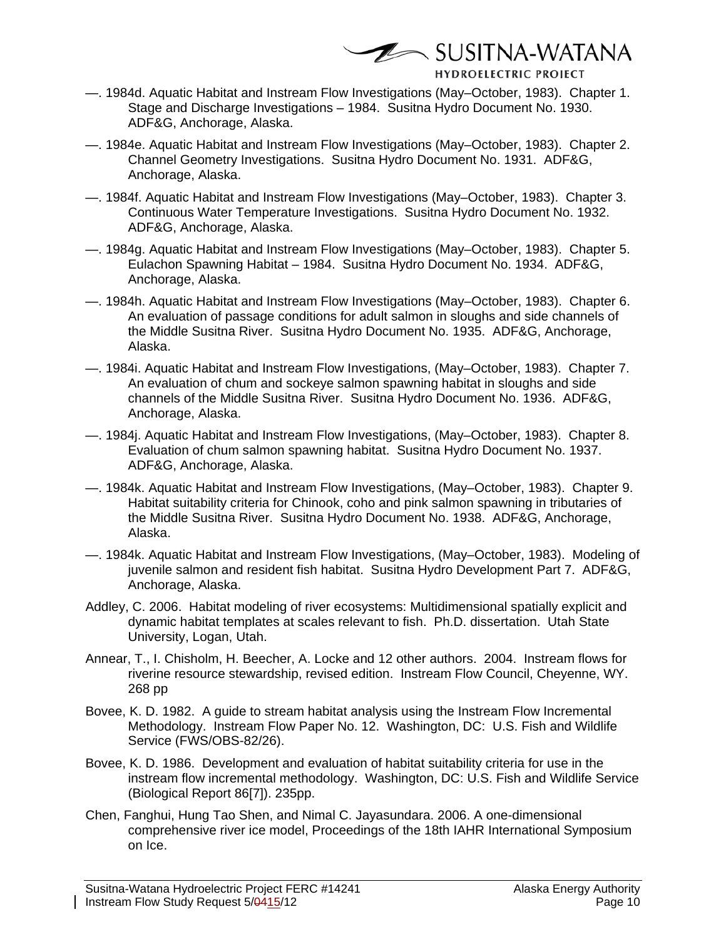$\mathscr{D}\rightarrow$  SUSITNA-WATANA

- —. 1984d. Aquatic Habitat and Instream Flow Investigations (May–October, 1983). Chapter 1. Stage and Discharge Investigations – 1984. Susitna Hydro Document No. 1930. ADF&G, Anchorage, Alaska.
- —. 1984e. Aquatic Habitat and Instream Flow Investigations (May–October, 1983). Chapter 2. Channel Geometry Investigations. Susitna Hydro Document No. 1931. ADF&G, Anchorage, Alaska.
- —. 1984f. Aquatic Habitat and Instream Flow Investigations (May–October, 1983). Chapter 3. Continuous Water Temperature Investigations. Susitna Hydro Document No. 1932. ADF&G, Anchorage, Alaska.
- —. 1984g. Aquatic Habitat and Instream Flow Investigations (May–October, 1983). Chapter 5. Eulachon Spawning Habitat – 1984. Susitna Hydro Document No. 1934. ADF&G, Anchorage, Alaska.
- —. 1984h. Aquatic Habitat and Instream Flow Investigations (May–October, 1983). Chapter 6. An evaluation of passage conditions for adult salmon in sloughs and side channels of the Middle Susitna River. Susitna Hydro Document No. 1935. ADF&G, Anchorage, Alaska.
- —. 1984i. Aquatic Habitat and Instream Flow Investigations, (May–October, 1983). Chapter 7. An evaluation of chum and sockeye salmon spawning habitat in sloughs and side channels of the Middle Susitna River. Susitna Hydro Document No. 1936. ADF&G, Anchorage, Alaska.
- —. 1984j. Aquatic Habitat and Instream Flow Investigations, (May–October, 1983). Chapter 8. Evaluation of chum salmon spawning habitat. Susitna Hydro Document No. 1937. ADF&G, Anchorage, Alaska.
- —. 1984k. Aquatic Habitat and Instream Flow Investigations, (May–October, 1983). Chapter 9. Habitat suitability criteria for Chinook, coho and pink salmon spawning in tributaries of the Middle Susitna River. Susitna Hydro Document No. 1938. ADF&G, Anchorage, Alaska.
- —. 1984k. Aquatic Habitat and Instream Flow Investigations, (May–October, 1983). Modeling of juvenile salmon and resident fish habitat. Susitna Hydro Development Part 7. ADF&G, Anchorage, Alaska.
- Addley, C. 2006. Habitat modeling of river ecosystems: Multidimensional spatially explicit and dynamic habitat templates at scales relevant to fish. Ph.D. dissertation. Utah State University, Logan, Utah.
- Annear, T., I. Chisholm, H. Beecher, A. Locke and 12 other authors. 2004. Instream flows for riverine resource stewardship, revised edition. Instream Flow Council, Cheyenne, WY. 268 pp
- Bovee, K. D. 1982. A guide to stream habitat analysis using the Instream Flow Incremental Methodology. Instream Flow Paper No. 12. Washington, DC: U.S. Fish and Wildlife Service (FWS/OBS-82/26).
- Bovee, K. D. 1986. Development and evaluation of habitat suitability criteria for use in the instream flow incremental methodology. Washington, DC: U.S. Fish and Wildlife Service (Biological Report 86[7]). 235pp.
- Chen, Fanghui, Hung Tao Shen, and Nimal C. Jayasundara. 2006. A one-dimensional comprehensive river ice model, Proceedings of the 18th IAHR International Symposium on Ice.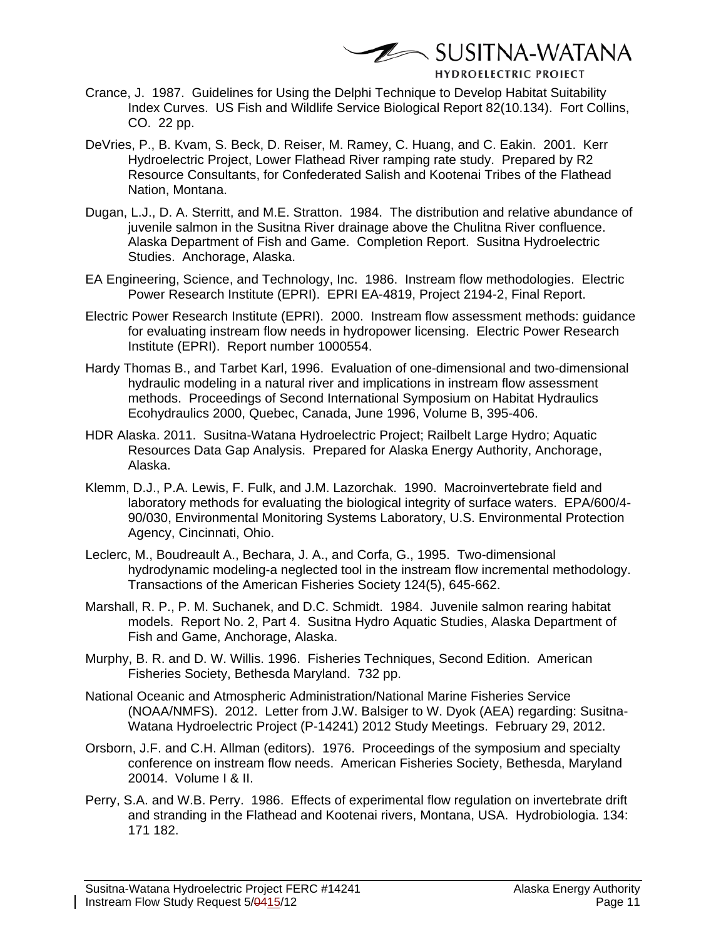$\mathscr{D}\rightarrow$  SUSITNA-WATANA

- Crance, J. 1987. Guidelines for Using the Delphi Technique to Develop Habitat Suitability Index Curves. US Fish and Wildlife Service Biological Report 82(10.134). Fort Collins, CO. 22 pp.
- DeVries, P., B. Kvam, S. Beck, D. Reiser, M. Ramey, C. Huang, and C. Eakin. 2001. Kerr Hydroelectric Project, Lower Flathead River ramping rate study. Prepared by R2 Resource Consultants, for Confederated Salish and Kootenai Tribes of the Flathead Nation, Montana.
- Dugan, L.J., D. A. Sterritt, and M.E. Stratton. 1984. The distribution and relative abundance of juvenile salmon in the Susitna River drainage above the Chulitna River confluence. Alaska Department of Fish and Game. Completion Report. Susitna Hydroelectric Studies. Anchorage, Alaska.
- EA Engineering, Science, and Technology, Inc. 1986. Instream flow methodologies. Electric Power Research Institute (EPRI). EPRI EA-4819, Project 2194-2, Final Report.
- Electric Power Research Institute (EPRI). 2000. Instream flow assessment methods: guidance for evaluating instream flow needs in hydropower licensing. Electric Power Research Institute (EPRI). Report number 1000554.
- Hardy Thomas B., and Tarbet Karl, 1996. Evaluation of one-dimensional and two-dimensional hydraulic modeling in a natural river and implications in instream flow assessment methods. Proceedings of Second International Symposium on Habitat Hydraulics Ecohydraulics 2000, Quebec, Canada, June 1996, Volume B, 395-406.
- HDR Alaska. 2011. Susitna-Watana Hydroelectric Project; Railbelt Large Hydro; Aquatic Resources Data Gap Analysis. Prepared for Alaska Energy Authority, Anchorage, Alaska.
- Klemm, D.J., P.A. Lewis, F. Fulk, and J.M. Lazorchak. 1990. Macroinvertebrate field and laboratory methods for evaluating the biological integrity of surface waters. EPA/600/4- 90/030, Environmental Monitoring Systems Laboratory, U.S. Environmental Protection Agency, Cincinnati, Ohio.
- Leclerc, M., Boudreault A., Bechara, J. A., and Corfa, G., 1995. Two-dimensional hydrodynamic modeling-a neglected tool in the instream flow incremental methodology. Transactions of the American Fisheries Society 124(5), 645-662.
- Marshall, R. P., P. M. Suchanek, and D.C. Schmidt. 1984. Juvenile salmon rearing habitat models. Report No. 2, Part 4. Susitna Hydro Aquatic Studies, Alaska Department of Fish and Game, Anchorage, Alaska.
- Murphy, B. R. and D. W. Willis. 1996. Fisheries Techniques, Second Edition. American Fisheries Society, Bethesda Maryland. 732 pp.
- National Oceanic and Atmospheric Administration/National Marine Fisheries Service (NOAA/NMFS). 2012. Letter from J.W. Balsiger to W. Dyok (AEA) regarding: Susitna-Watana Hydroelectric Project (P-14241) 2012 Study Meetings. February 29, 2012.
- Orsborn, J.F. and C.H. Allman (editors). 1976. Proceedings of the symposium and specialty conference on instream flow needs. American Fisheries Society, Bethesda, Maryland 20014. Volume I & II.
- Perry, S.A. and W.B. Perry. 1986. Effects of experimental flow regulation on invertebrate drift and stranding in the Flathead and Kootenai rivers, Montana, USA. Hydrobiologia. 134: 171 182.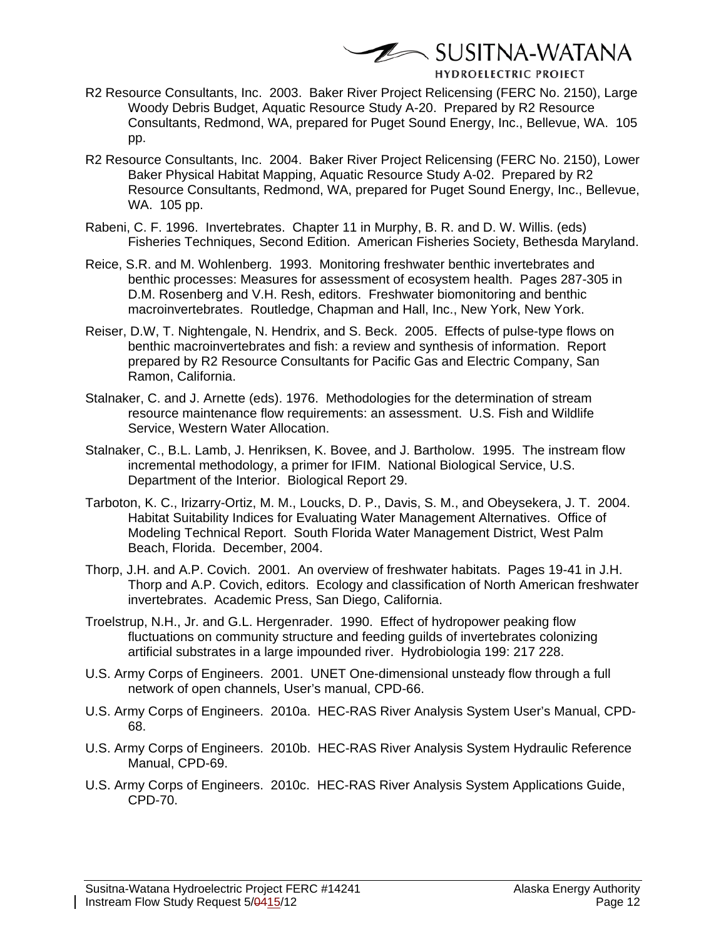**E** SUSITNA-WATANA

- R2 Resource Consultants, Inc. 2003. Baker River Project Relicensing (FERC No. 2150), Large Woody Debris Budget, Aquatic Resource Study A-20. Prepared by R2 Resource Consultants, Redmond, WA, prepared for Puget Sound Energy, Inc., Bellevue, WA. 105 pp.
- R2 Resource Consultants, Inc. 2004. Baker River Project Relicensing (FERC No. 2150), Lower Baker Physical Habitat Mapping, Aquatic Resource Study A-02. Prepared by R2 Resource Consultants, Redmond, WA, prepared for Puget Sound Energy, Inc., Bellevue, WA. 105 pp.
- Rabeni, C. F. 1996. Invertebrates. Chapter 11 in Murphy, B. R. and D. W. Willis. (eds) Fisheries Techniques, Second Edition. American Fisheries Society, Bethesda Maryland.
- Reice, S.R. and M. Wohlenberg. 1993. Monitoring freshwater benthic invertebrates and benthic processes: Measures for assessment of ecosystem health. Pages 287-305 in D.M. Rosenberg and V.H. Resh, editors. Freshwater biomonitoring and benthic macroinvertebrates. Routledge, Chapman and Hall, Inc., New York, New York.
- Reiser, D.W, T. Nightengale, N. Hendrix, and S. Beck. 2005. Effects of pulse-type flows on benthic macroinvertebrates and fish: a review and synthesis of information. Report prepared by R2 Resource Consultants for Pacific Gas and Electric Company, San Ramon, California.
- Stalnaker, C. and J. Arnette (eds). 1976. Methodologies for the determination of stream resource maintenance flow requirements: an assessment. U.S. Fish and Wildlife Service, Western Water Allocation.
- Stalnaker, C., B.L. Lamb, J. Henriksen, K. Bovee, and J. Bartholow. 1995. The instream flow incremental methodology, a primer for IFIM. National Biological Service, U.S. Department of the Interior. Biological Report 29.
- Tarboton, K. C., Irizarry-Ortiz, M. M., Loucks, D. P., Davis, S. M., and Obeysekera, J. T. 2004. Habitat Suitability Indices for Evaluating Water Management Alternatives. Office of Modeling Technical Report. South Florida Water Management District, West Palm Beach, Florida. December, 2004.
- Thorp, J.H. and A.P. Covich. 2001. An overview of freshwater habitats. Pages 19-41 in J.H. Thorp and A.P. Covich, editors. Ecology and classification of North American freshwater invertebrates. Academic Press, San Diego, California.
- Troelstrup, N.H., Jr. and G.L. Hergenrader. 1990. Effect of hydropower peaking flow fluctuations on community structure and feeding guilds of invertebrates colonizing artificial substrates in a large impounded river. Hydrobiologia 199: 217 228.
- U.S. Army Corps of Engineers. 2001. UNET One-dimensional unsteady flow through a full network of open channels, User's manual, CPD-66.
- U.S. Army Corps of Engineers. 2010a. HEC-RAS River Analysis System User's Manual, CPD-68.
- U.S. Army Corps of Engineers. 2010b. HEC-RAS River Analysis System Hydraulic Reference Manual, CPD-69.
- U.S. Army Corps of Engineers. 2010c. HEC-RAS River Analysis System Applications Guide, CPD-70.